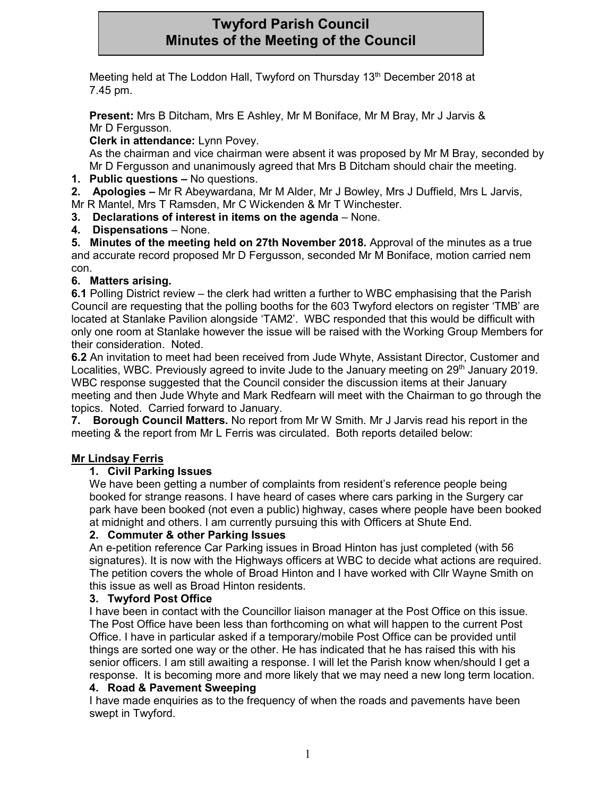# **Twyford Parish Council Minutes of the Meeting of the Council**

Meeting held at The Loddon Hall, Twyford on Thursday 13<sup>th</sup> December 2018 at 7.45 pm.

**Present:** Mrs B Ditcham, Mrs E Ashley, Mr M Boniface, Mr M Bray, Mr J Jarvis & Mr D Fergusson.

**Clerk in attendance:** Lynn Povey.

As the chairman and vice chairman were absent it was proposed by Mr M Bray, seconded by Mr D Fergusson and unanimously agreed that Mrs B Ditcham should chair the meeting.

**1. Public questions –** No questions.

**2. Apologies –** Mr R Abeywardana, Mr M Alder, Mr J Bowley, Mrs J Duffield, Mrs L Jarvis,

Mr R Mantel, Mrs T Ramsden, Mr C Wickenden & Mr T Winchester.

- **3. Declarations of interest in items on the agenda** None.
- **4. Dispensations** None.

**5. Minutes of the meeting held on 27th November 2018.** Approval of the minutes as a true and accurate record proposed Mr D Fergusson, seconded Mr M Boniface, motion carried nem con.

# **6. Matters arising.**

**6.1** Polling District review – the clerk had written a further to WBC emphasising that the Parish Council are requesting that the polling booths for the 603 Twyford electors on register 'TMB' are located at Stanlake Pavilion alongside 'TAM2'. WBC responded that this would be difficult with only one room at Stanlake however the issue will be raised with the Working Group Members for their consideration. Noted.

**6.2** An invitation to meet had been received from Jude Whyte, Assistant Director, Customer and Localities, WBC. Previously agreed to invite Jude to the January meeting on 29<sup>th</sup> January 2019. WBC response suggested that the Council consider the discussion items at their January meeting and then Jude Whyte and Mark Redfearn will meet with the Chairman to go through the topics. Noted. Carried forward to January.

**7. Borough Council Matters.** No report from Mr W Smith. Mr J Jarvis read his report in the meeting & the report from Mr L Ferris was circulated. Both reports detailed below:

# **Mr Lindsay Ferris**

## **1. Civil Parking Issues**

We have been getting a number of complaints from resident's reference people being booked for strange reasons. I have heard of cases where cars parking in the Surgery car park have been booked (not even a public) highway, cases where people have been booked at midnight and others. I am currently pursuing this with Officers at Shute End.

# **2. Commuter & other Parking Issues**

An e-petition reference Car Parking issues in Broad Hinton has just completed (with 56 signatures). It is now with the Highways officers at WBC to decide what actions are required. The petition covers the whole of Broad Hinton and I have worked with Cllr Wayne Smith on this issue as well as Broad Hinton residents.

## **3. Twyford Post Office**

I have been in contact with the Councillor liaison manager at the Post Office on this issue. The Post Office have been less than forthcoming on what will happen to the current Post Office. I have in particular asked if a temporary/mobile Post Office can be provided until things are sorted one way or the other. He has indicated that he has raised this with his senior officers. I am still awaiting a response. I will let the Parish know when/should I get a response. It is becoming more and more likely that we may need a new long term location.

## **4. Road & Pavement Sweeping**

I have made enquiries as to the frequency of when the roads and pavements have been swept in Twyford.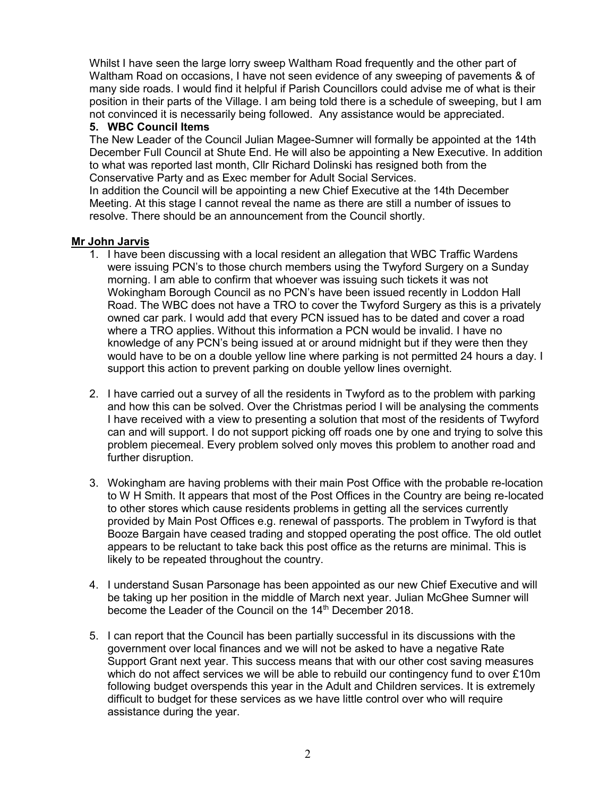Whilst I have seen the large lorry sweep Waltham Road frequently and the other part of Waltham Road on occasions, I have not seen evidence of any sweeping of pavements & of many side roads. I would find it helpful if Parish Councillors could advise me of what is their position in their parts of the Village. I am being told there is a schedule of sweeping, but I am not convinced it is necessarily being followed. Any assistance would be appreciated.

#### **5. WBC Council Items**

The New Leader of the Council Julian Magee-Sumner will formally be appointed at the 14th December Full Council at Shute End. He will also be appointing a New Executive. In addition to what was reported last month, Cllr Richard Dolinski has resigned both from the Conservative Party and as Exec member for Adult Social Services.

In addition the Council will be appointing a new Chief Executive at the 14th December Meeting. At this stage I cannot reveal the name as there are still a number of issues to resolve. There should be an announcement from the Council shortly.

#### **Mr John Jarvis**

- 1. I have been discussing with a local resident an allegation that WBC Traffic Wardens were issuing PCN's to those church members using the Twyford Surgery on a Sunday morning. I am able to confirm that whoever was issuing such tickets it was not Wokingham Borough Council as no PCN's have been issued recently in Loddon Hall Road. The WBC does not have a TRO to cover the Twyford Surgery as this is a privately owned car park. I would add that every PCN issued has to be dated and cover a road where a TRO applies. Without this information a PCN would be invalid. I have no knowledge of any PCN's being issued at or around midnight but if they were then they would have to be on a double yellow line where parking is not permitted 24 hours a day. I support this action to prevent parking on double yellow lines overnight.
- 2. I have carried out a survey of all the residents in Twyford as to the problem with parking and how this can be solved. Over the Christmas period I will be analysing the comments I have received with a view to presenting a solution that most of the residents of Twyford can and will support. I do not support picking off roads one by one and trying to solve this problem piecemeal. Every problem solved only moves this problem to another road and further disruption.
- 3. Wokingham are having problems with their main Post Office with the probable re-location to W H Smith. It appears that most of the Post Offices in the Country are being re-located to other stores which cause residents problems in getting all the services currently provided by Main Post Offices e.g. renewal of passports. The problem in Twyford is that Booze Bargain have ceased trading and stopped operating the post office. The old outlet appears to be reluctant to take back this post office as the returns are minimal. This is likely to be repeated throughout the country.
- 4. I understand Susan Parsonage has been appointed as our new Chief Executive and will be taking up her position in the middle of March next year. Julian McGhee Sumner will become the Leader of the Council on the 14<sup>th</sup> December 2018.
- 5. I can report that the Council has been partially successful in its discussions with the government over local finances and we will not be asked to have a negative Rate Support Grant next year. This success means that with our other cost saving measures which do not affect services we will be able to rebuild our contingency fund to over £10m following budget overspends this year in the Adult and Children services. It is extremely difficult to budget for these services as we have little control over who will require assistance during the year.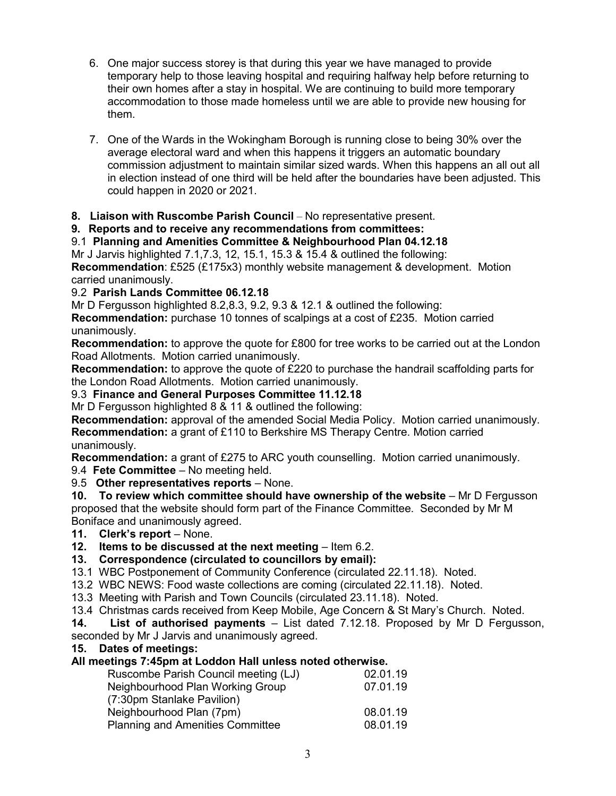- 6. One major success storey is that during this year we have managed to provide temporary help to those leaving hospital and requiring halfway help before returning to their own homes after a stay in hospital. We are continuing to build more temporary accommodation to those made homeless until we are able to provide new housing for them.
- 7. One of the Wards in the Wokingham Borough is running close to being 30% over the average electoral ward and when this happens it triggers an automatic boundary commission adjustment to maintain similar sized wards. When this happens an all out all in election instead of one third will be held after the boundaries have been adjusted. This could happen in 2020 or 2021.
- **8. Liaison with Ruscombe Parish Council** No representative present.

**9. Reports and to receive any recommendations from committees:**

9.1 **Planning and Amenities Committee & Neighbourhood Plan 04.12.18**

Mr J Jarvis highlighted 7.1,7.3, 12, 15.1, 15.3 & 15.4 & outlined the following: **Recommendation**: £525 (£175x3) monthly website management & development. Motion carried unanimously.

# 9.2 **Parish Lands Committee 06.12.18**

Mr D Fergusson highlighted 8.2,8.3, 9.2, 9.3 & 12.1 & outlined the following:

**Recommendation:** purchase 10 tonnes of scalpings at a cost of £235. Motion carried unanimously.

**Recommendation:** to approve the quote for £800 for tree works to be carried out at the London Road Allotments. Motion carried unanimously.

**Recommendation:** to approve the quote of £220 to purchase the handrail scaffolding parts for the London Road Allotments. Motion carried unanimously.

9.3 **Finance and General Purposes Committee 11.12.18**

Mr D Fergusson highlighted 8 & 11 & outlined the following:

**Recommendation:** approval of the amended Social Media Policy. Motion carried unanimously. **Recommendation:** a grant of £110 to Berkshire MS Therapy Centre. Motion carried unanimously.

**Recommendation:** a grant of £275 to ARC youth counselling. Motion carried unanimously.

9.4 **Fete Committee** – No meeting held.

9.5 **Other representatives reports** – None.

**10. To review which committee should have ownership of the website** – Mr D Fergusson proposed that the website should form part of the Finance Committee. Seconded by Mr M Boniface and unanimously agreed.

**11. Clerk's report** – None.

**12. Items to be discussed at the next meeting** – Item 6.2.

**13. Correspondence (circulated to councillors by email):**

13.1 WBC Postponement of Community Conference (circulated 22.11.18). Noted.

13.2 WBC NEWS: Food waste collections are coming (circulated 22.11.18). Noted.

13.3 Meeting with Parish and Town Councils (circulated 23.11.18). Noted.

13.4 Christmas cards received from Keep Mobile, Age Concern & St Mary's Church. Noted.

**14. List of authorised payments** – List dated 7.12.18. Proposed by Mr D Fergusson, seconded by Mr J Jarvis and unanimously agreed.

# **15. Dates of meetings:**

## **All meetings 7:45pm at Loddon Hall unless noted otherwise.**

| Ruscombe Parish Council meeting (LJ)    | 02.01.19 |
|-----------------------------------------|----------|
| Neighbourhood Plan Working Group        | 07.01.19 |
| (7:30pm Stanlake Pavilion)              |          |
| Neighbourhood Plan (7pm)                | 08.01.19 |
| <b>Planning and Amenities Committee</b> | 08.01.19 |